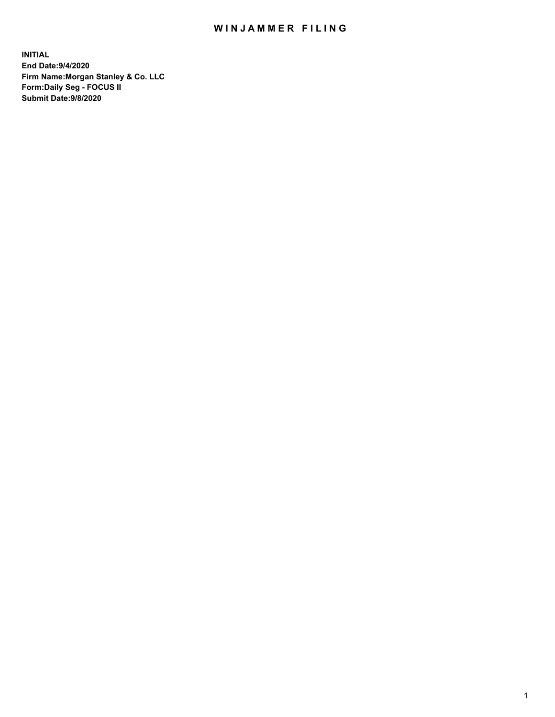## WIN JAMMER FILING

**INITIAL End Date:9/4/2020 Firm Name:Morgan Stanley & Co. LLC Form:Daily Seg - FOCUS II Submit Date:9/8/2020**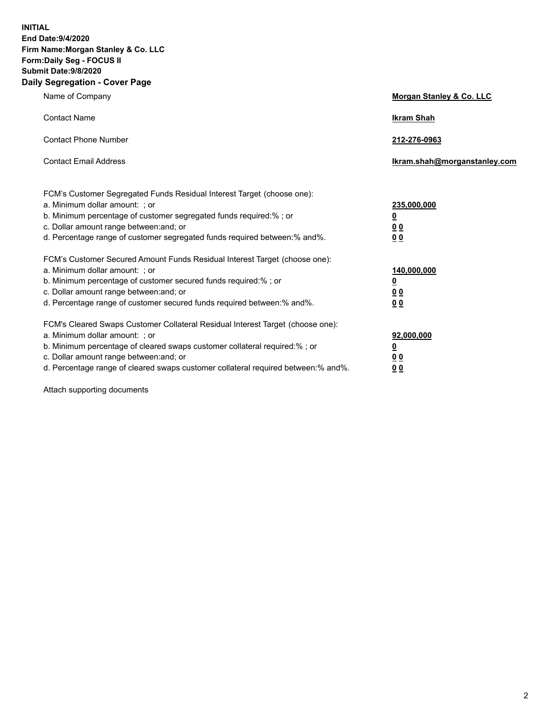**INITIAL End Date:9/4/2020 Firm Name:Morgan Stanley & Co. LLC Form:Daily Seg - FOCUS II Submit Date:9/8/2020 Daily Segregation - Cover Page**

| Name of Company                                                                                                                                                                                                                                                                                                                | Morgan Stanley & Co. LLC                        |
|--------------------------------------------------------------------------------------------------------------------------------------------------------------------------------------------------------------------------------------------------------------------------------------------------------------------------------|-------------------------------------------------|
| <b>Contact Name</b>                                                                                                                                                                                                                                                                                                            | <b>Ikram Shah</b>                               |
| <b>Contact Phone Number</b>                                                                                                                                                                                                                                                                                                    | 212-276-0963                                    |
| <b>Contact Email Address</b>                                                                                                                                                                                                                                                                                                   | lkram.shah@morganstanley.com                    |
| FCM's Customer Segregated Funds Residual Interest Target (choose one):<br>a. Minimum dollar amount: ; or<br>b. Minimum percentage of customer segregated funds required:%; or<br>c. Dollar amount range between: and; or<br>d. Percentage range of customer segregated funds required between:% and%.                          | 235,000,000<br><u>0</u><br><u>00</u><br>0 Q     |
| FCM's Customer Secured Amount Funds Residual Interest Target (choose one):<br>a. Minimum dollar amount: ; or<br>b. Minimum percentage of customer secured funds required:% ; or<br>c. Dollar amount range between: and; or<br>d. Percentage range of customer secured funds required between: % and %.                         | 140,000,000<br><u>0</u><br>0 <sub>0</sub><br>00 |
| FCM's Cleared Swaps Customer Collateral Residual Interest Target (choose one):<br>a. Minimum dollar amount: ; or<br>b. Minimum percentage of cleared swaps customer collateral required:% ; or<br>c. Dollar amount range between: and; or<br>d. Percentage range of cleared swaps customer collateral required between:% and%. | 92,000,000<br><u>0</u><br>0 Q<br>0 <sub>0</sub> |

Attach supporting documents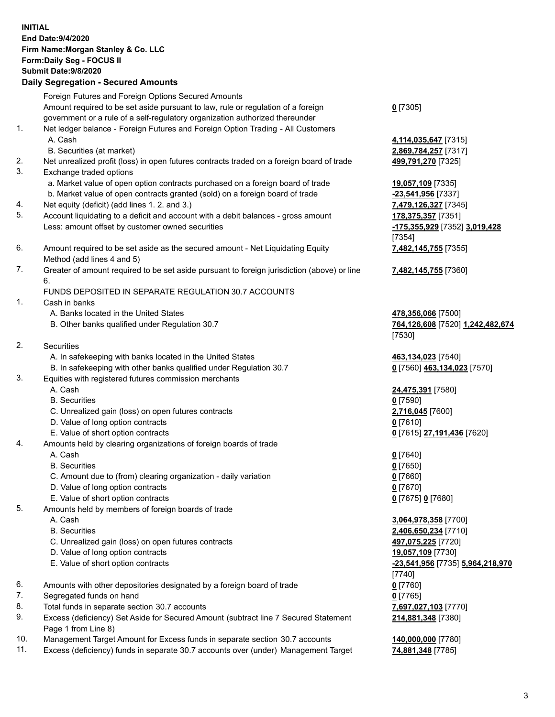|            | <b>INITIAL</b><br>End Date: 9/4/2020<br>Firm Name: Morgan Stanley & Co. LLC<br>Form: Daily Seg - FOCUS II<br>Submit Date: 9/8/2020<br><b>Daily Segregation - Secured Amounts</b> |                                                        |
|------------|----------------------------------------------------------------------------------------------------------------------------------------------------------------------------------|--------------------------------------------------------|
|            | Foreign Futures and Foreign Options Secured Amounts<br>Amount required to be set aside pursuant to law, rule or regulation of a foreign                                          | $0$ [7305]                                             |
| 1.         | government or a rule of a self-regulatory organization authorized thereunder<br>Net ledger balance - Foreign Futures and Foreign Option Trading - All Customers                  |                                                        |
|            | A. Cash<br>B. Securities (at market)                                                                                                                                             | 4,114,035,647 [7315]<br>2,869,784,257 [7317]           |
| 2.<br>3.   | Net unrealized profit (loss) in open futures contracts traded on a foreign board of trade<br>Exchange traded options                                                             | 499,791,270 [7325]                                     |
|            | a. Market value of open option contracts purchased on a foreign board of trade<br>b. Market value of open contracts granted (sold) on a foreign board of trade                   | 19,057,109 [7335]<br>-23,541,956 [7337]                |
| 4.<br>5.   | Net equity (deficit) (add lines 1.2. and 3.)<br>Account liquidating to a deficit and account with a debit balances - gross amount                                                | 7,479,126,327 [7345]<br>178,375,357 [7351]             |
|            | Less: amount offset by customer owned securities                                                                                                                                 | -175,355,929 [7352] 3,019,428<br>[7354]                |
| 6.         | Amount required to be set aside as the secured amount - Net Liquidating Equity<br>Method (add lines 4 and 5)                                                                     | 7,482,145,755 [7355]                                   |
| 7.         | Greater of amount required to be set aside pursuant to foreign jurisdiction (above) or line<br>6.                                                                                | 7,482,145,755 [7360]                                   |
| 1.         | FUNDS DEPOSITED IN SEPARATE REGULATION 30.7 ACCOUNTS<br>Cash in banks                                                                                                            |                                                        |
|            | A. Banks located in the United States<br>B. Other banks qualified under Regulation 30.7                                                                                          | 478,356,066 [7500]<br>764,126,608 [7520] 1,242,482,674 |
| 2.         | <b>Securities</b>                                                                                                                                                                | [7530]                                                 |
|            | A. In safekeeping with banks located in the United States<br>B. In safekeeping with other banks qualified under Regulation 30.7                                                  | 463,134,023 [7540]<br>0 [7560] 463,134,023 [7570]      |
| 3.         | Equities with registered futures commission merchants<br>A. Cash                                                                                                                 | 24,475,391 [7580]                                      |
|            | <b>B.</b> Securities<br>C. Unrealized gain (loss) on open futures contracts                                                                                                      | $0$ [7590]<br>2,716,045 [7600]                         |
|            | D. Value of long option contracts<br>E. Value of short option contracts                                                                                                          | <u>0</u> [7610]<br>0 [7615] 27,191,436 [7620]          |
| 4.         | Amounts held by clearing organizations of foreign boards of trade<br>A. Cash                                                                                                     | $0$ [7640]                                             |
|            | <b>B.</b> Securities<br>C. Amount due to (from) clearing organization - daily variation                                                                                          | $0$ [7650]<br>$0$ [7660]                               |
|            | D. Value of long option contracts<br>E. Value of short option contracts                                                                                                          | $0$ [7670]<br>0 [7675] 0 [7680]                        |
| 5.         | Amounts held by members of foreign boards of trade<br>A. Cash                                                                                                                    | 3,064,978,358 [7700]                                   |
|            | <b>B.</b> Securities<br>C. Unrealized gain (loss) on open futures contracts                                                                                                      | 2,406,650,234 [7710]                                   |
|            | D. Value of long option contracts                                                                                                                                                | 497,075,225 [7720]<br>19,057,109 [7730]                |
|            | E. Value of short option contracts                                                                                                                                               | <u>-23,541,956</u> [7735] 5,964,218,970<br>$[7740]$    |
| 6.<br>7.   | Amounts with other depositories designated by a foreign board of trade<br>Segregated funds on hand                                                                               | $0$ [7760]<br>$0$ [7765]                               |
| 8.<br>9.   | Total funds in separate section 30.7 accounts<br>Excess (deficiency) Set Aside for Secured Amount (subtract line 7 Secured Statement<br>Page 1 from Line 8)                      | 7,697,027,103 [7770]<br>214,881,348 [7380]             |
| 10.<br>11. | Management Target Amount for Excess funds in separate section 30.7 accounts<br>Excess (deficiency) funds in separate 30.7 accounts over (under) Management Target                | 140,000,000 [7780]<br>74,881,348 [7785]                |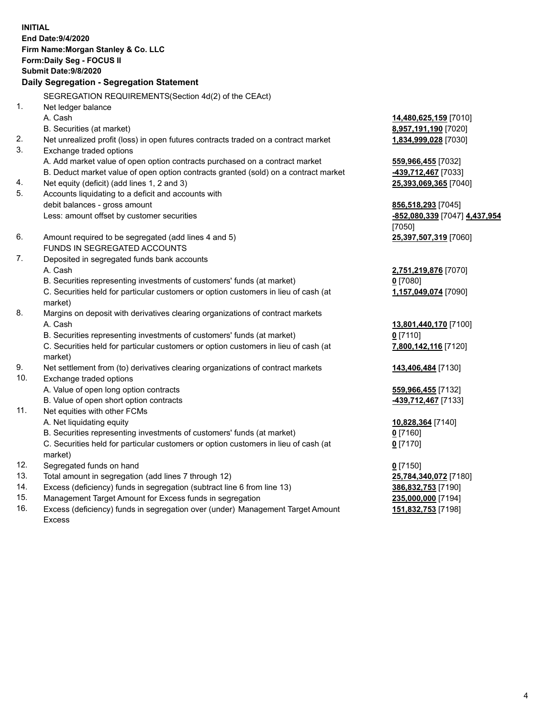|     | <b>INITIAL</b><br>End Date: 9/4/2020<br>Firm Name: Morgan Stanley & Co. LLC<br>Form: Daily Seg - FOCUS II<br>Submit Date: 9/8/2020<br>Daily Segregation - Segregation Statement |                               |
|-----|---------------------------------------------------------------------------------------------------------------------------------------------------------------------------------|-------------------------------|
|     | SEGREGATION REQUIREMENTS(Section 4d(2) of the CEAct)                                                                                                                            |                               |
| 1.  | Net ledger balance                                                                                                                                                              |                               |
|     | A. Cash                                                                                                                                                                         | 14,480,625,159 [7010]         |
|     | B. Securities (at market)                                                                                                                                                       | 8,957,191,190 [7020]          |
| 2.  | Net unrealized profit (loss) in open futures contracts traded on a contract market                                                                                              | 1,834,999,028 [7030]          |
| 3.  | Exchange traded options                                                                                                                                                         |                               |
|     | A. Add market value of open option contracts purchased on a contract market                                                                                                     | 559,966,455 [7032]            |
|     | B. Deduct market value of open option contracts granted (sold) on a contract market                                                                                             | 439,712,467 [7033]            |
| 4.  | Net equity (deficit) (add lines 1, 2 and 3)                                                                                                                                     | 25,393,069,365 [7040]         |
| 5.  | Accounts liquidating to a deficit and accounts with                                                                                                                             |                               |
|     | debit balances - gross amount                                                                                                                                                   | 856,518,293 [7045]            |
|     | Less: amount offset by customer securities                                                                                                                                      | -852,080,339 [7047] 4,437,954 |
|     |                                                                                                                                                                                 | [7050]                        |
| 6.  | Amount required to be segregated (add lines 4 and 5)<br>FUNDS IN SEGREGATED ACCOUNTS                                                                                            | 25,397,507,319 [7060]         |
| 7.  | Deposited in segregated funds bank accounts                                                                                                                                     |                               |
|     | A. Cash                                                                                                                                                                         | 2,751,219,876 [7070]          |
|     | B. Securities representing investments of customers' funds (at market)                                                                                                          | $0$ [7080]                    |
|     | C. Securities held for particular customers or option customers in lieu of cash (at                                                                                             | 1,157,049,074 [7090]          |
|     | market)                                                                                                                                                                         |                               |
| 8.  | Margins on deposit with derivatives clearing organizations of contract markets                                                                                                  |                               |
|     | A. Cash                                                                                                                                                                         | 13,801,440,170 [7100]         |
|     | B. Securities representing investments of customers' funds (at market)                                                                                                          | $0$ [7110]                    |
|     | C. Securities held for particular customers or option customers in lieu of cash (at                                                                                             | 7,800,142,116 [7120]          |
|     | market)                                                                                                                                                                         |                               |
| 9.  | Net settlement from (to) derivatives clearing organizations of contract markets                                                                                                 | 143,406,484 [7130]            |
| 10. | Exchange traded options                                                                                                                                                         |                               |
|     | A. Value of open long option contracts                                                                                                                                          | 559,966,455 [7132]            |
|     | B. Value of open short option contracts                                                                                                                                         | 439,712,467 [7133]            |
| 11. | Net equities with other FCMs                                                                                                                                                    |                               |
|     | A. Net liquidating equity                                                                                                                                                       | 10,828,364 [7140]             |
|     | B. Securities representing investments of customers' funds (at market)                                                                                                          | $0$ [7160]                    |
|     | C. Securities held for particular customers or option customers in lieu of cash (at                                                                                             | $0$ [7170]                    |
|     | market)                                                                                                                                                                         |                               |
| 12. | Segregated funds on hand                                                                                                                                                        | $0$ [7150]                    |
| 13. | Total amount in segregation (add lines 7 through 12)                                                                                                                            | 25,784,340,072 [7180]         |
| 14. | Excess (deficiency) funds in segregation (subtract line 6 from line 13)                                                                                                         | 386,832,753 [7190]            |
| 15. | Management Target Amount for Excess funds in segregation                                                                                                                        | 235,000,000 [7194]            |
| 16. | Excess (deficiency) funds in segregation over (under) Management Target Amount                                                                                                  | 151,832,753 [7198]            |

16. Excess (deficiency) funds in segregation over (under) Management Target Amount Excess